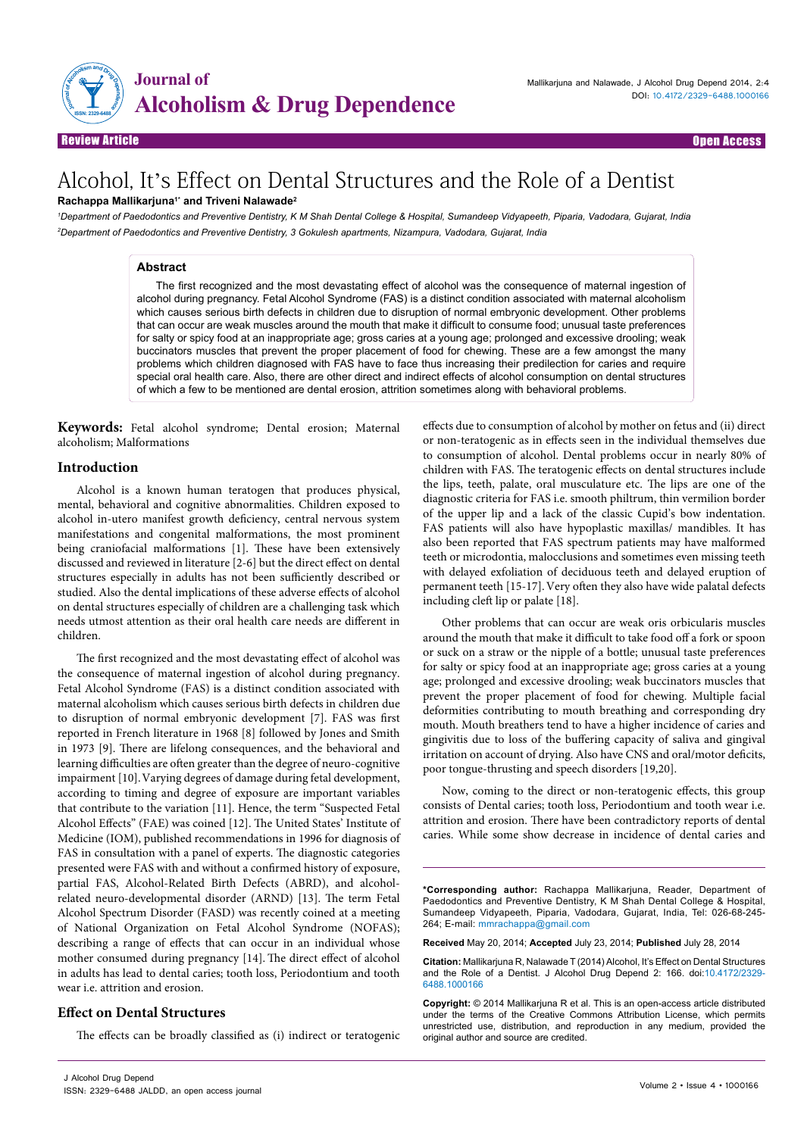

# Alcohol, It's Effect on Dental Structures and the Role of a Dentist **Rachappa Mallikarjuna1\* and Triveni Nalawade2**

*1 Department of Paedodontics and Preventive Dentistry, K M Shah Dental College & Hospital, Sumandeep Vidyapeeth, Piparia, Vadodara, Gujarat, India 2 Department of Paedodontics and Preventive Dentistry, 3 Gokulesh apartments, Nizampura, Vadodara, Gujarat, India*

#### **Abstract**

The first recognized and the most devastating effect of alcohol was the consequence of maternal ingestion of alcohol during pregnancy. Fetal Alcohol Syndrome (FAS) is a distinct condition associated with maternal alcoholism which causes serious birth defects in children due to disruption of normal embryonic development. Other problems that can occur are weak muscles around the mouth that make it difficult to consume food; unusual taste preferences for salty or spicy food at an inappropriate age; gross caries at a young age; prolonged and excessive drooling; weak buccinators muscles that prevent the proper placement of food for chewing. These are a few amongst the many problems which children diagnosed with FAS have to face thus increasing their predilection for caries and require special oral health care. Also, there are other direct and indirect effects of alcohol consumption on dental structures of which a few to be mentioned are dental erosion, attrition sometimes along with behavioral problems.

**Keywords:** Fetal alcohol syndrome; Dental erosion; Maternal alcoholism; Malformations

## **Introduction**

Alcohol is a known human teratogen that produces physical, mental, behavioral and cognitive abnormalities. Children exposed to alcohol in-utero manifest growth deficiency, central nervous system manifestations and congenital malformations, the most prominent being craniofacial malformations [1]. These have been extensively discussed and reviewed in literature [2-6] but the direct effect on dental structures especially in adults has not been sufficiently described or studied. Also the dental implications of these adverse effects of alcohol on dental structures especially of children are a challenging task which needs utmost attention as their oral health care needs are different in children.

The first recognized and the most devastating effect of alcohol was the consequence of maternal ingestion of alcohol during pregnancy. Fetal Alcohol Syndrome (FAS) is a distinct condition associated with maternal alcoholism which causes serious birth defects in children due to disruption of normal embryonic development [7]. FAS was first reported in French literature in 1968 [8] followed by Jones and Smith in 1973 [9]. There are lifelong consequences, and the behavioral and learning difficulties are often greater than the degree of neuro-cognitive impairment [10].Varying degrees of damage during fetal development, according to timing and degree of exposure are important variables that contribute to the variation [11]. Hence, the term "Suspected Fetal Alcohol Effects" (FAE) was coined [12]. The United States' Institute of Medicine (IOM), published recommendations in 1996 for diagnosis of FAS in consultation with a panel of experts. The diagnostic categories presented were FAS with and without a confirmed history of exposure, partial FAS, Alcohol-Related Birth Defects (ABRD), and alcoholrelated neuro-developmental disorder (ARND) [13]. The term Fetal Alcohol Spectrum Disorder (FASD) was recently coined at a meeting of National Organization on Fetal Alcohol Syndrome (NOFAS); describing a range of effects that can occur in an individual whose mother consumed during pregnancy [14]. The direct effect of alcohol in adults has lead to dental caries; tooth loss, Periodontium and tooth wear i.e. attrition and erosion.

## **Effect on Dental Structures**

The effects can be broadly classified as (i) indirect or teratogenic

effects due to consumption of alcohol by mother on fetus and (ii) direct or non-teratogenic as in effects seen in the individual themselves due to consumption of alcohol. Dental problems occur in nearly 80% of children with FAS. The teratogenic effects on dental structures include the lips, teeth, palate, oral musculature etc. The lips are one of the diagnostic criteria for FAS i.e. smooth philtrum, thin vermilion border of the upper lip and a lack of the classic Cupid's bow indentation. FAS patients will also have hypoplastic maxillas/ mandibles. It has also been reported that FAS spectrum patients may have malformed teeth or microdontia, malocclusions and sometimes even missing teeth with delayed exfoliation of deciduous teeth and delayed eruption of permanent teeth [15-17].Very often they also have wide palatal defects including cleft lip or palate [18].

Other problems that can occur are weak oris orbicularis muscles around the mouth that make it difficult to take food off a fork or spoon or suck on a straw or the nipple of a bottle; unusual taste preferences for salty or spicy food at an inappropriate age; gross caries at a young age; prolonged and excessive drooling; weak buccinators muscles that prevent the proper placement of food for chewing. Multiple facial deformities contributing to mouth breathing and corresponding dry mouth. Mouth breathers tend to have a higher incidence of caries and gingivitis due to loss of the buffering capacity of saliva and gingival irritation on account of drying. Also have CNS and oral/motor deficits, poor tongue-thrusting and speech disorders [19,20].

Now, coming to the direct or non-teratogenic effects, this group consists of Dental caries; tooth loss, Periodontium and tooth wear i.e. attrition and erosion. There have been contradictory reports of dental caries. While some show decrease in incidence of dental caries and

**\*Corresponding author:** Rachappa Mallikarjuna, Reader, Department of Paedodontics and Preventive Dentistry, K M Shah Dental College & Hospital, Sumandeep Vidyapeeth, Piparia, Vadodara, Gujarat, India, Tel: 026-68-245- 264; E-mail: mmrachappa@gmail.com

**Received** May 20, 2014; **Accepted** July 23, 2014; **Published** July 28, 2014

**Citation:** Mallikarjuna R, Nalawade T (2014) Alcohol, It's Effect on Dental Structures and the Role of a Dentist. J Alcohol Drug Depend 2: 166. doi:10.4172/2329- 6488.1000166

**Copyright:** © 2014 Mallikarjuna R et al. This is an open-access article distributed under the terms of the Creative Commons Attribution License, which permits unrestricted use, distribution, and reproduction in any medium, provided the original author and source are credited.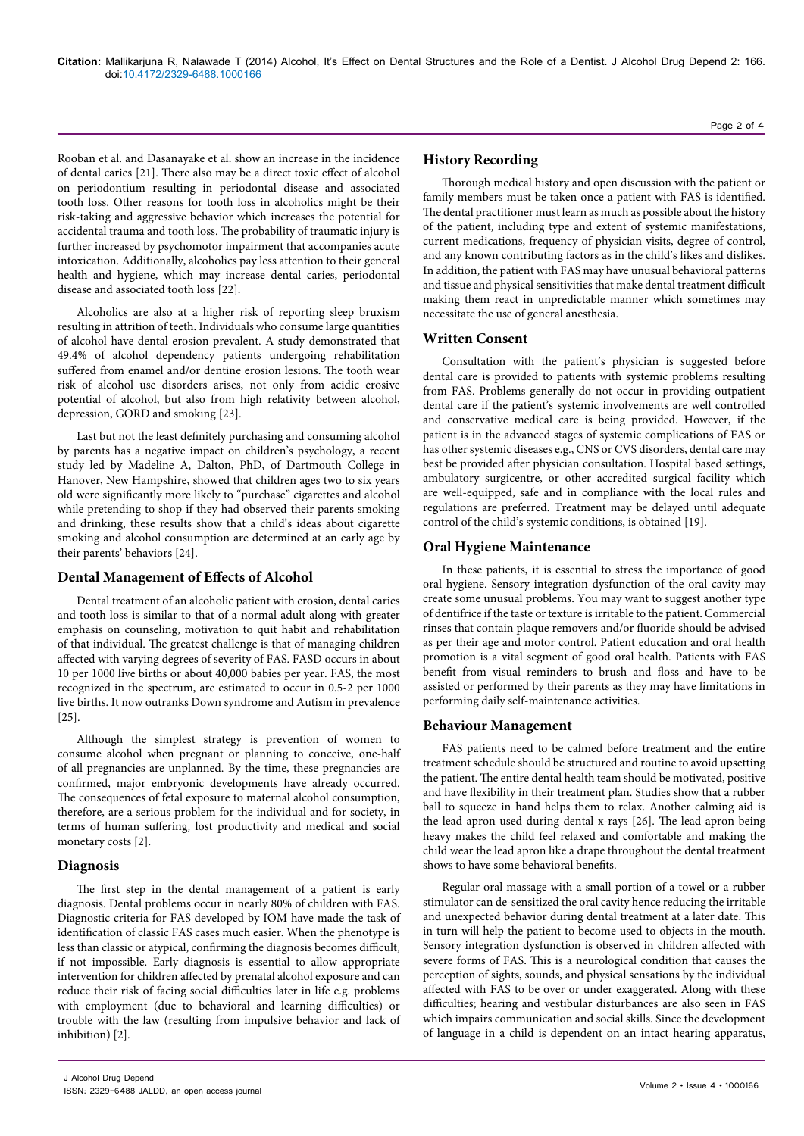Rooban et al. and Dasanayake et al. show an increase in the incidence of dental caries [21]. There also may be a direct toxic effect of alcohol on periodontium resulting in periodontal disease and associated tooth loss. Other reasons for tooth loss in alcoholics might be their risk-taking and aggressive behavior which increases the potential for accidental trauma and tooth loss. The probability of traumatic injury is further increased by psychomotor impairment that accompanies acute intoxication. Additionally, alcoholics pay less attention to their general health and hygiene, which may increase dental caries, periodontal disease and associated tooth loss [22].

Alcoholics are also at a higher risk of reporting sleep bruxism resulting in attrition of teeth. Individuals who consume large quantities of alcohol have dental erosion prevalent. A study demonstrated that 49.4% of alcohol dependency patients undergoing rehabilitation suffered from enamel and/or dentine erosion lesions. The tooth wear risk of alcohol use disorders arises, not only from acidic erosive potential of alcohol, but also from high relativity between alcohol, depression, GORD and smoking [23].

Last but not the least definitely purchasing and consuming alcohol by parents has a negative impact on children's psychology, a recent study led by Madeline A, Dalton, PhD, of Dartmouth College in Hanover, New Hampshire, showed that children ages two to six years old were significantly more likely to "purchase" cigarettes and alcohol while pretending to shop if they had observed their parents smoking and drinking, these results show that a child's ideas about cigarette smoking and alcohol consumption are determined at an early age by their parents' behaviors [24].

#### **Dental Management of Effects of Alcohol**

Dental treatment of an alcoholic patient with erosion, dental caries and tooth loss is similar to that of a normal adult along with greater emphasis on counseling, motivation to quit habit and rehabilitation of that individual. The greatest challenge is that of managing children affected with varying degrees of severity of FAS. FASD occurs in about 10 per 1000 live births or about 40,000 babies per year. FAS, the most recognized in the spectrum, are estimated to occur in 0.5-2 per 1000 live births. It now outranks Down syndrome and Autism in prevalence [25].

Although the simplest strategy is prevention of women to consume alcohol when pregnant or planning to conceive, one-half of all pregnancies are unplanned. By the time, these pregnancies are confirmed, major embryonic developments have already occurred. The consequences of fetal exposure to maternal alcohol consumption, therefore, are a serious problem for the individual and for society, in terms of human suffering, lost productivity and medical and social monetary costs [2].

# **Diagnosis**

The first step in the dental management of a patient is early diagnosis. Dental problems occur in nearly 80% of children with FAS. Diagnostic criteria for FAS developed by IOM have made the task of identification of classic FAS cases much easier. When the phenotype is less than classic or atypical, confirming the diagnosis becomes difficult, if not impossible. Early diagnosis is essential to allow appropriate intervention for children affected by prenatal alcohol exposure and can reduce their risk of facing social difficulties later in life e.g. problems with employment (due to behavioral and learning difficulties) or trouble with the law (resulting from impulsive behavior and lack of inhibition) [2].

# **History Recording**

Thorough medical history and open discussion with the patient or family members must be taken once a patient with FAS is identified. The dental practitioner must learn as much as possible about the history of the patient, including type and extent of systemic manifestations, current medications, frequency of physician visits, degree of control, and any known contributing factors as in the child's likes and dislikes. In addition, the patient with FAS may have unusual behavioral patterns and tissue and physical sensitivities that make dental treatment difficult making them react in unpredictable manner which sometimes may necessitate the use of general anesthesia.

#### **Written Consent**

Consultation with the patient's physician is suggested before dental care is provided to patients with systemic problems resulting from FAS. Problems generally do not occur in providing outpatient dental care if the patient's systemic involvements are well controlled and conservative medical care is being provided. However, if the patient is in the advanced stages of systemic complications of FAS or has other systemic diseases e.g., CNS or CVS disorders, dental care may best be provided after physician consultation. Hospital based settings, ambulatory surgicentre, or other accredited surgical facility which are well-equipped, safe and in compliance with the local rules and regulations are preferred. Treatment may be delayed until adequate control of the child's systemic conditions, is obtained [19].

## **Oral Hygiene Maintenance**

In these patients, it is essential to stress the importance of good oral hygiene. Sensory integration dysfunction of the oral cavity may create some unusual problems. You may want to suggest another type of dentifrice if the taste or texture is irritable to the patient. Commercial rinses that contain plaque removers and/or fluoride should be advised as per their age and motor control. Patient education and oral health promotion is a vital segment of good oral health. Patients with FAS benefit from visual reminders to brush and floss and have to be assisted or performed by their parents as they may have limitations in performing daily self-maintenance activities.

#### **Behaviour Management**

FAS patients need to be calmed before treatment and the entire treatment schedule should be structured and routine to avoid upsetting the patient. The entire dental health team should be motivated, positive and have flexibility in their treatment plan. Studies show that a rubber ball to squeeze in hand helps them to relax. Another calming aid is the lead apron used during dental x-rays [26]. The lead apron being heavy makes the child feel relaxed and comfortable and making the child wear the lead apron like a drape throughout the dental treatment shows to have some behavioral benefits.

Regular oral massage with a small portion of a towel or a rubber stimulator can de-sensitized the oral cavity hence reducing the irritable and unexpected behavior during dental treatment at a later date. This in turn will help the patient to become used to objects in the mouth. Sensory integration dysfunction is observed in children affected with severe forms of FAS. This is a neurological condition that causes the perception of sights, sounds, and physical sensations by the individual affected with FAS to be over or under exaggerated. Along with these difficulties; hearing and vestibular disturbances are also seen in FAS which impairs communication and social skills. Since the development of language in a child is dependent on an intact hearing apparatus,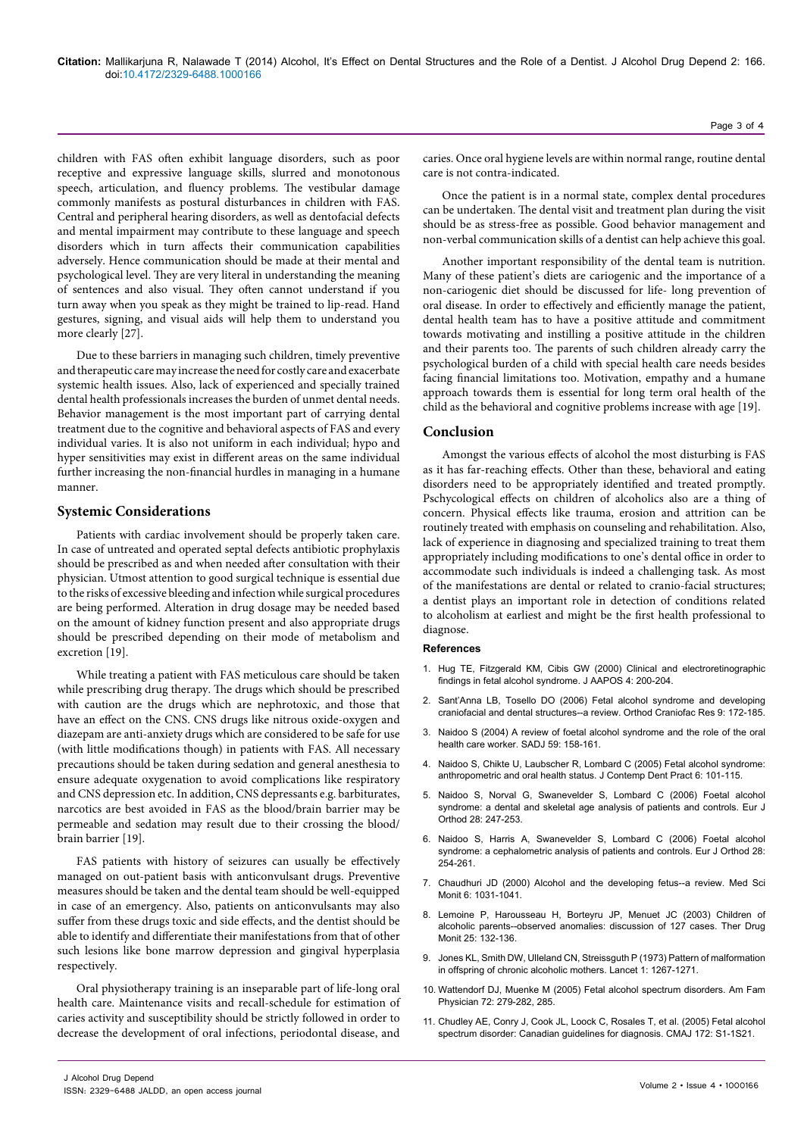children with FAS often exhibit language disorders, such as poor receptive and expressive language skills, slurred and monotonous speech, articulation, and fluency problems. The vestibular damage commonly manifests as postural disturbances in children with FAS. Central and peripheral hearing disorders, as well as dentofacial defects and mental impairment may contribute to these language and speech disorders which in turn affects their communication capabilities adversely. Hence communication should be made at their mental and psychological level. They are very literal in understanding the meaning of sentences and also visual. They often cannot understand if you turn away when you speak as they might be trained to lip-read. Hand gestures, signing, and visual aids will help them to understand you more clearly [27].

Due to these barriers in managing such children, timely preventive and therapeutic care may increase the need for costly care and exacerbate systemic health issues. Also, lack of experienced and specially trained dental health professionals increases the burden of unmet dental needs. Behavior management is the most important part of carrying dental treatment due to the cognitive and behavioral aspects of FAS and every individual varies. It is also not uniform in each individual; hypo and hyper sensitivities may exist in different areas on the same individual further increasing the non-financial hurdles in managing in a humane manner.

# **Systemic Considerations**

Patients with cardiac involvement should be properly taken care. In case of untreated and operated septal defects antibiotic prophylaxis should be prescribed as and when needed after consultation with their physician. Utmost attention to good surgical technique is essential due to the risks of excessive bleeding and infection while surgical procedures are being performed. Alteration in drug dosage may be needed based on the amount of kidney function present and also appropriate drugs should be prescribed depending on their mode of metabolism and excretion [19].

While treating a patient with FAS meticulous care should be taken while prescribing drug therapy. The drugs which should be prescribed with caution are the drugs which are nephrotoxic, and those that have an effect on the CNS. CNS drugs like nitrous oxide-oxygen and diazepam are anti-anxiety drugs which are considered to be safe for use (with little modifications though) in patients with FAS. All necessary precautions should be taken during sedation and general anesthesia to ensure adequate oxygenation to avoid complications like respiratory and CNS depression etc. In addition, CNS depressants e.g. barbiturates, narcotics are best avoided in FAS as the blood/brain barrier may be permeable and sedation may result due to their crossing the blood/ brain barrier [19].

FAS patients with history of seizures can usually be effectively managed on out-patient basis with anticonvulsant drugs. Preventive measures should be taken and the dental team should be well-equipped in case of an emergency. Also, patients on anticonvulsants may also suffer from these drugs toxic and side effects, and the dentist should be able to identify and differentiate their manifestations from that of other such lesions like bone marrow depression and gingival hyperplasia respectively.

Oral physiotherapy training is an inseparable part of life-long oral health care. Maintenance visits and recall-schedule for estimation of caries activity and susceptibility should be strictly followed in order to decrease the development of oral infections, periodontal disease, and

caries. Once oral hygiene levels are within normal range, routine dental care is not contra-indicated.

Once the patient is in a normal state, complex dental procedures can be undertaken. The dental visit and treatment plan during the visit should be as stress-free as possible. Good behavior management and non-verbal communication skills of a dentist can help achieve this goal.

Another important responsibility of the dental team is nutrition. Many of these patient's diets are cariogenic and the importance of a non-cariogenic diet should be discussed for life- long prevention of oral disease. In order to effectively and efficiently manage the patient, dental health team has to have a positive attitude and commitment towards motivating and instilling a positive attitude in the children and their parents too. The parents of such children already carry the psychological burden of a child with special health care needs besides facing financial limitations too. Motivation, empathy and a humane approach towards them is essential for long term oral health of the child as the behavioral and cognitive problems increase with age [19].

## **Conclusion**

Amongst the various effects of alcohol the most disturbing is FAS as it has far-reaching effects. Other than these, behavioral and eating disorders need to be appropriately identified and treated promptly. Pschycological effects on children of alcoholics also are a thing of concern. Physical effects like trauma, erosion and attrition can be routinely treated with emphasis on counseling and rehabilitation. Also, lack of experience in diagnosing and specialized training to treat them appropriately including modifications to one's dental office in order to accommodate such individuals is indeed a challenging task. As most of the manifestations are dental or related to cranio-facial structures; a dentist plays an important role in detection of conditions related to alcoholism at earliest and might be the first health professional to diagnose.

#### **References**

- 1. [Hug TE, Fitzgerald KM, Cibis GW \(2000\) Clinical and electroretinographic](http://www.ncbi.nlm.nih.gov/pubmed/10951294)  [findings in fetal alcohol syndrome. J AAPOS 4: 200-204.](http://www.ncbi.nlm.nih.gov/pubmed/10951294)
- 2. [Sant'Anna LB, Tosello DO \(2006\) Fetal alcohol syndrome and developing](http://www.ncbi.nlm.nih.gov/pubmed/17101024)  [craniofacial and dental structures--a review. Orthod Craniofac Res 9: 172-185.](http://www.ncbi.nlm.nih.gov/pubmed/17101024)
- 3. [Naidoo S \(2004\) A review of foetal alcohol syndrome and the role of the oral](http://www.ncbi.nlm.nih.gov/pubmed/15279092)  [health care worker. SADJ 59: 158-161.](http://www.ncbi.nlm.nih.gov/pubmed/15279092)
- 4. [Naidoo S, Chikte U, Laubscher R, Lombard C \(2005\) Fetal alcohol syndrome:](http://www.ncbi.nlm.nih.gov/pubmed/16299612)  [anthropometric and oral health status. J Contemp Dent Pract 6: 101-115.](http://www.ncbi.nlm.nih.gov/pubmed/16299612)
- 5. [Naidoo S, Norval G, Swanevelder S, Lombard C \(2006\) Foetal alcohol](http://www.ncbi.nlm.nih.gov/pubmed/16644851)  [syndrome: a dental and skeletal age analysis of patients and controls. Eur J](http://www.ncbi.nlm.nih.gov/pubmed/16644851)  [Orthod 28: 247-253.](http://www.ncbi.nlm.nih.gov/pubmed/16644851)
- 6. [Naidoo S, Harris A, Swanevelder S, Lombard C \(2006\) Foetal alcohol](http://www.ncbi.nlm.nih.gov/pubmed/16648213)  [syndrome: a cephalometric analysis of patients and controls. Eur J Orthod 28:](http://www.ncbi.nlm.nih.gov/pubmed/16648213)  [254-261.](http://www.ncbi.nlm.nih.gov/pubmed/16648213)
- 7. [Chaudhuri JD \(2000\) Alcohol and the developing fetus--a review. Med Sci](http://www.ncbi.nlm.nih.gov/pubmed/11208451)  [Monit 6: 1031-1041.](http://www.ncbi.nlm.nih.gov/pubmed/11208451)
- 8. [Lemoine P, Harousseau H, Borteyru JP, Menuet JC \(2003\) Children of](http://www.ncbi.nlm.nih.gov/pubmed/12657907)  [alcoholic parents--observed anomalies: discussion of 127 cases. Ther Drug](http://www.ncbi.nlm.nih.gov/pubmed/12657907)  [Monit 25: 132-136.](http://www.ncbi.nlm.nih.gov/pubmed/12657907)
- 9. [Jones KL, Smith DW, Ulleland CN, Streissguth P \(1973\) Pattern of malformation](http://www.ncbi.nlm.nih.gov/pubmed/4126070)  [in offspring of chronic alcoholic mothers. Lancet 1: 1267-1271.](http://www.ncbi.nlm.nih.gov/pubmed/4126070)
- 10. [Wattendorf DJ, Muenke M \(2005\) Fetal alcohol spectrum disorders. Am Fam](http://www.ncbi.nlm.nih.gov/pubmed/16050451)  [Physician 72: 279-282, 285.](http://www.ncbi.nlm.nih.gov/pubmed/16050451)
- 11. [Chudley AE, Conry J, Cook JL, Loock C, Rosales T, et al. \(2005\) Fetal alcohol](http://www.ncbi.nlm.nih.gov/pubmed/15738468)  [spectrum disorder: Canadian guidelines for diagnosis. CMAJ 172: S1-1S21.](http://www.ncbi.nlm.nih.gov/pubmed/15738468)